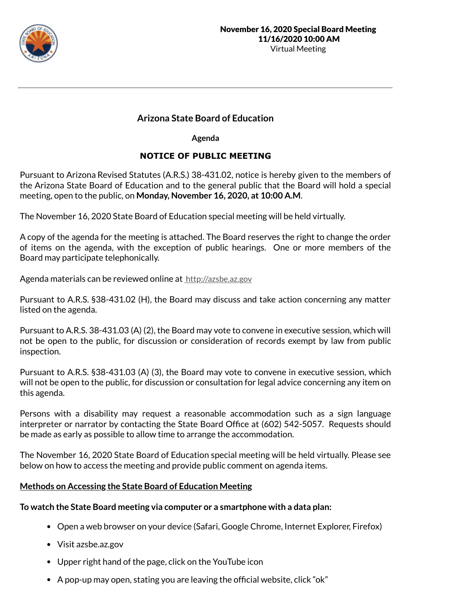

# **Arizona State Board of Education**

**Agenda**

# **NOTICE OF PUBLIC MEETING**

Pursuant to Arizona Revised Statutes (A.R.S.) 38-431.02, notice is hereby given to the members of the Arizona State Board of Education and to the general public that the Board will hold a special meeting, open to the public, on **Monday, November 16, 2020, at 10:00 A.M**.

The November 16, 2020 State Board of Education special meeting will be held virtually.

A copy of the agenda for the meeting is attached. The Board reserves the right to change the order of items on the agenda, with the exception of public hearings. One or more members of the Board may participate telephonically.

Agenda materials can be reviewed online at http://azsbe.az.gov

Pursuant to A.R.S. §38-431.02 (H), the Board may discuss and take action concerning any matter listed on the agenda.

Pursuant to A.R.S. 38-431.03 (A) (2), the Board may vote to convene in executive session, which will not be open to the public, for discussion or consideration of records exempt by law from public inspection.

Pursuant to A.R.S. §38-431.03 (A) (3), the Board may vote to convene in executive session, which will not be open to the public, for discussion or consultation for legal advice concerning any item on this agenda.

Persons with a disability may request a reasonable accommodation such as a sign language interpreter or narrator by contacting the State Board Office at (602) 542-5057. Requests should be made as early as possible to allow time to arrange the accommodation.

The November 16, 2020 State Board of Education special meeting will be held virtually. Please see below on how to access the meeting and provide public comment on agenda items.

# **Methods on Accessing the State Board of Education Meeting**

# **To watch the State Board meeting via computer or a smartphone with a data plan:**

- Open a web browser on your device (Safari, Google Chrome, Internet Explorer, Firefox)
- Visit azsbe.az.gov
- Upper right hand of the page, click on the YouTube icon
- A pop-up may open, stating you are leaving the official website, click "ok"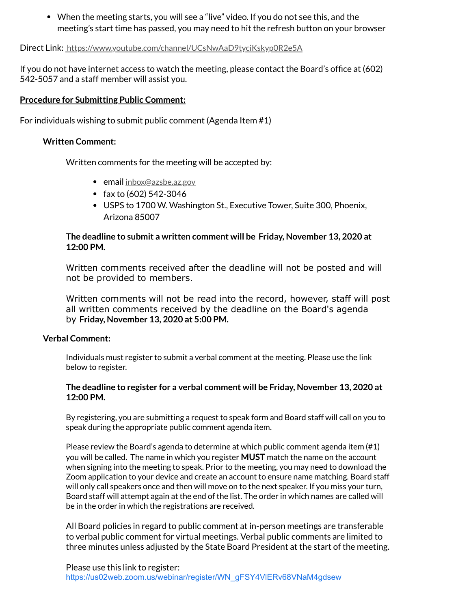When the meeting starts, you will see a "live" video. If you do not see this, and the meeting's start time has passed, you may need to hit the refresh button on your browser

Direct Link: https://www.youtube.com/channel/UCsNwAaD9tyciKskyp0R2e5A

If you do not have internet access to watch the meeting, please contact the Board's office at (602) 542-5057 and a staff member will assist you.

# **Procedure for Submitting Public Comment:**

For individuals wishing to submit public comment (Agenda Item #1)

# **Written Comment:**

Written comments for the meeting will be accepted by:

- email inbox@azsbe.az.gov
- fax to  $(602)$  542-3046
- USPS to 1700 W. Washington St., Executive Tower, Suite 300, Phoenix, Arizona 85007

# **The deadline to submit a written comment will be Friday, November 13, 2020 at 12:00 PM.**

Written comments received after the deadline will not be posted and will not be provided to members.

Written comments will not be read into the record, however, staff will post all written comments received by the deadline on the Board's agenda by **Friday, November 13, 2020 at 5:00 PM.**

# **Verbal Comment:**

Individuals must register to submit a verbal comment at the meeting. Please use the link below to register.

# **The deadline to register for a verbal comment will be Friday, November 13, 2020 at 12:00 PM.**

By registering, you are submitting a request to speak form and Board staff will call on you to speak during the appropriate public comment agenda item.

Please review the Board's agenda to determine at which public comment agenda item (#1) you will be called. The name in which you register **MUST** match the name on the account when signing into the meeting to speak. Prior to the meeting, you may need to download the Zoom application to your device and create an account to ensure name matching. Board staff will only call speakers once and then will move on to the next speaker. If you miss your turn, Board staff will attempt again at the end of the list. The order in which names are called will be in the order in which the registrations are received.

All Board policies in regard to public comment at in-person meetings are transferable to verbal public comment for virtual meetings. Verbal public comments are limited to three minutes unless adjusted by the State Board President at the start of the meeting.